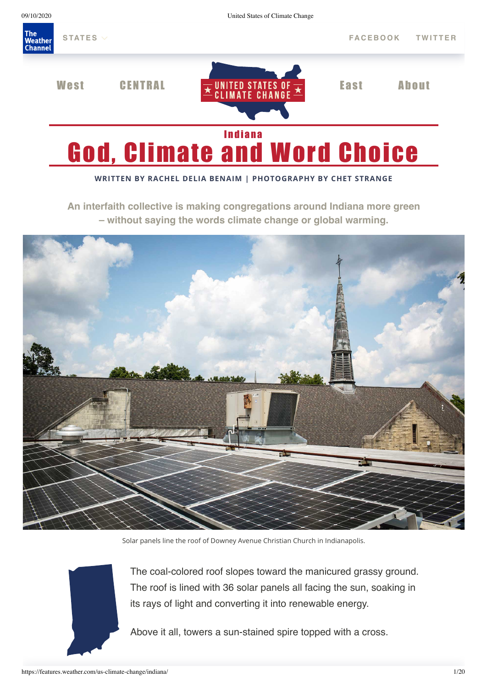

# God, Climate and Word Choice

#### **WRITTEN BY RACHEL DELIA BENAIM | PHOTOGRAPHY BY CHET STRANGE**

**An interfaith collective is making congregations around Indiana more green – without saying the words climate change or global warming.**



Solar panels line the roof of Downey Avenue Christian Church in Indianapolis.



The coal-colored roof slopes toward the manicured grassy ground. The roof is lined with 36 solar panels all facing the sun, soaking in its rays of light and converting it into renewable energy.

Above it all, towers a sun-stained spire topped with a cross.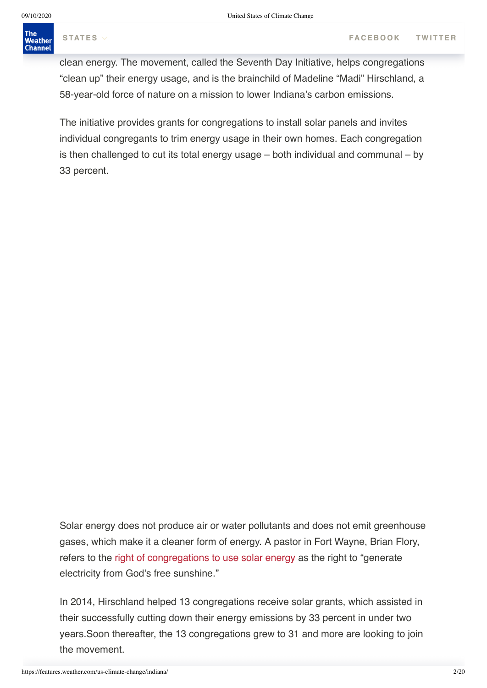# Indianapolis' Downey Avenue Christian Church is one of 31 hous[es of worship o](https://www.facebook.com/sharer.php?u=https://features.weather.com/us-climate-change/indiana/&t=God,%20Climate%20and%20Word%20Choice)[f 18](https://twitter.com/share?text=&url=https://features.weather.com/us-climate-change/indiana/)

clean energy. The movement, called the Seventh Day Initiative, helps congregations "clean up" their energy usage, and is the brainchild of Madeline "Madi" Hirschland, a 58-year-old force of nature on a mission to lower Indiana's carbon emissions.

The initiative provides grants for congregations to install solar panels and invites individual congregants to trim energy usage in their own homes. Each congregation is then challenged to cut its total energy usage – both individual and communal – by 33 percent.

Solar energy does not produce air or water pollutants and does not emit greenhouse gases, which make it a cleaner form of energy. A pastor in Fort Wayne, Brian Flory, refers to the [right of congregations to use solar energy](https://www.nytimes.com/2015/06/21/science/earth/for-faithful-social-justice-goals-demand-action-on-environment.html) as the right to "generate electricity from God's free sunshine."

In 2014, Hirschland helped 13 congregations receive solar grants, which assisted in their successfully cutting down their energy emissions by 33 percent in under two years.Soon thereafter, the 13 congregations grew to 31 and more are looking to join the movement.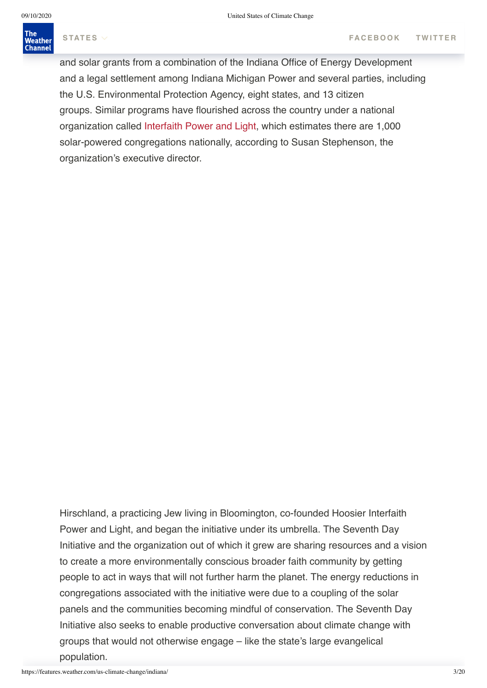# $T_{\rm eff}$  in time took of factors: Hirschland's passion of factors: Hirschland's passion; Hirschland's passion; Hirschland's passion; Hirschland's passion; Hirschland's passion; Hirschland's passion; Hirschland's passion;

and solar grants from a combination of the Indiana Office of Energy Development and a legal settlement among Indiana Michigan Power and several parties, including the U.S. Environmental Protection Agency, eight states, and 13 citizen groups. Similar programs have flourished across the country under a national organization called [Interfaith Power and Light](http://www.interfaithpowerandlight.org/), which estimates there are 1,000 solar-powered congregations nationally, according to Susan Stephenson, the organization's executive director.

Hirschland, a practicing Jew living in Bloomington, co-founded Hoosier Interfaith Power and Light, and began the initiative under its umbrella. The Seventh Day Initiative and the organization out of which it grew are sharing resources and a vision to create a more environmentally conscious broader faith community by getting people to act in ways that will not further harm the planet. The energy reductions in congregations associated with the initiative were due to a coupling of the solar panels and the communities becoming mindful of conservation. The Seventh Day Initiative also seeks to enable productive conversation about climate change with groups that would not otherwise engage – like the state's large evangelical population.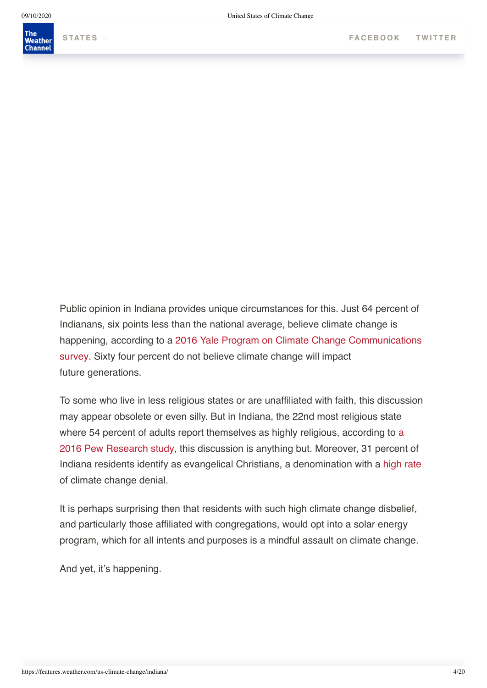

Public opinion in Indiana provides unique circumstances for this. Just 64 percent of Indianans, six points less than the national average, believe climate change is [happening, according to a 2016 Yale Program on Climate Change Communications](http://climatecommunication.yale.edu/visualizations-data/ycom-us-2016/) survey. Sixty four percent do not believe climate change will impact future generations.

To some who live in less religious states or are unaffiliated with faith, this discussion may appear obsolete or even silly. But in Indiana, the 22nd most religious state where 54 percent of adults report themselves as highly religious, according to a [2016 Pew Research study, this discussion is anything but. Moreover, 31 percen](http://www.pewresearch.org/fact-tank/2016/02/29/how-religious-is-your-state/?state=indiana)t of Indiana residents identify as evangelical Christians, a denomination with a [high rate](https://www.washingtonpost.com/news/acts-of-faith/wp/2017/06/02/why-so-many-white-evangelicals-in-trumps-base-are-deeply-skeptical-of-climate-change/?utm_term=.9221c05e64e0) of climate change denial.

It is perhaps surprising then that residents with such high climate change disbelief, and particularly those affiliated with congregations, would opt into a solar energy program, which for all intents and purposes is a mindful assault on climate change.

And yet, it's happening.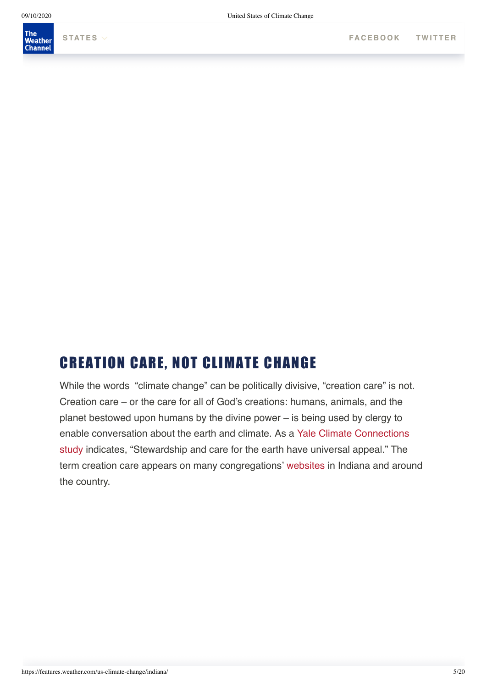

# CREATION CARE, NOT CLIMATE CHANGE

While the words "climate change" can be politically divisive, "creation care" is not. Creation care – or the care for all of God's creations: humans, animals, and the planet bestowed upon humans by the divine power – is being used by clergy to [enable conversation about the earth and climate. As a Yale Climate Connections](https://www.yaleclimateconnections.org/2017/04/changing-minds-on-a-changing-climate/?blm_aid=813056) study indicates, "Stewardship and care for the earth have universal appeal." The term creation care appears on many congregations' [websites](http://www.usccb.org/beliefs-and-teachings/what-we-believe/catholic-social-teaching/care-for-creation.cfm) in Indiana and around the country.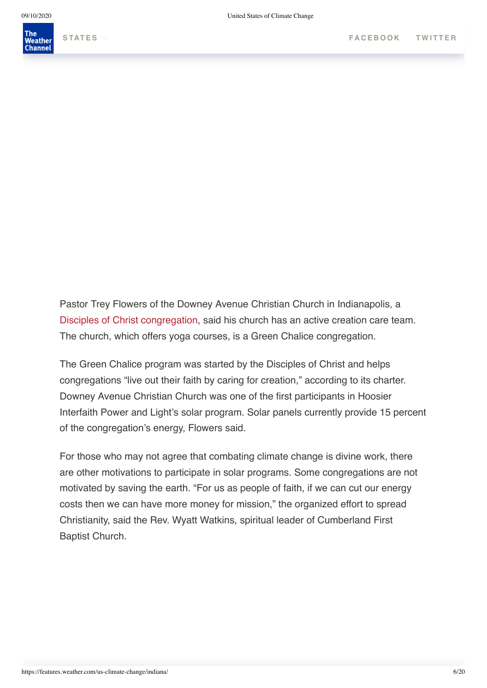

Pastor Trey Flowers of the Downey Avenue Christian Church in Indianapolis, a [Disciples of Christ congregation,](http://disciples.org/) said his church has an active creation care team. The church, which offers yoga courses, is a Green Chalice congregation.

The Green Chalice program was started by the Disciples of Christ and helps congregations "live out their faith by caring for creation," according to its charter. Downey Avenue Christian Church was one of the first participants in Hoosier Interfaith Power and Light's solar program. Solar panels currently provide 15 percent of the congregation's energy, Flowers said.

For those who may not agree that combating climate change is divine work, there are other motivations to participate in solar programs. Some congregations are not motivated by saving the earth. "For us as people of faith, if we can cut our energy costs then we can have more money for mission," the organized effort to spread Christianity, said the Rev. Wyatt Watkins, spiritual leader of Cumberland First Baptist Church.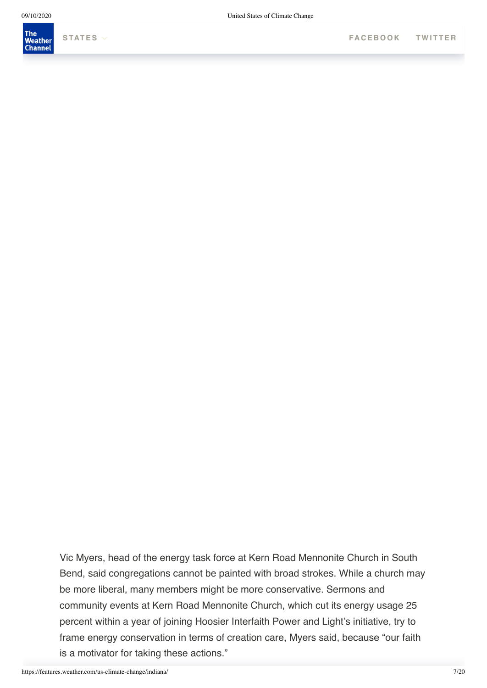

Vic Myers, head of the energy task force at Kern Road Mennonite Church in South Bend, said congregations cannot be painted with broad strokes. While a church may be more liberal, many members might be more conservative. Sermons and community events at Kern Road Mennonite Church, which cut its energy usage 25 percent within a year of joining Hoosier Interfaith Power and Light's initiative, try to frame energy conservation in terms of creation care, Myers said, because "our faith is a motivator for taking these actions."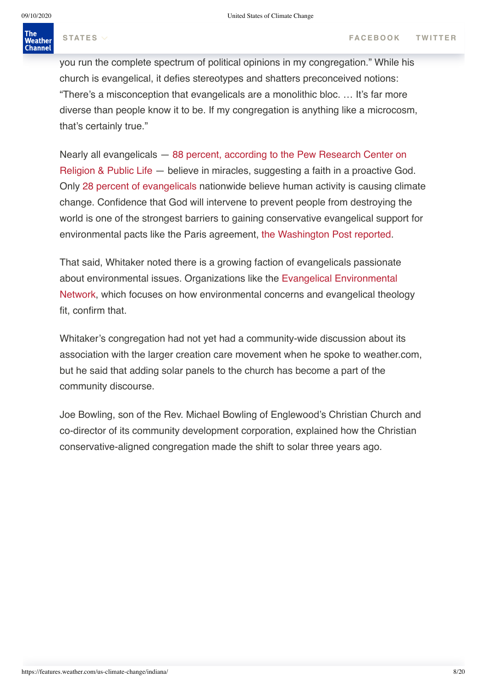The

### Weather **Channel**

you run the complete spectrum of political opinions in my congregation." While his church is evangelical, it defies stereotypes and shatters preconceived notions: "There's a misconception that evangelicals are a monolithic bloc. … It's far more diverse than people know it to be. If my congregation is anything like a microcosm, that's certainly true."

Nearly all evangelicals — 88 percent, according to the Pew Research Center on [Religion & Public Life — believe in miracles, suggesting a faith in a proactive Go](http://www.pewforum.org/2010/02/17/religion-among-the-millennials/)d. Only [28 percent of evangelicals](http://www.pewinternet.org/2015/10/22/religion-and-views-on-climate-and-energy-issues/) nationwide believe human activity is causing climate change. Confidence that God will intervene to prevent people from destroying the world is one of the strongest barriers to gaining conservative evangelical support for environmental pacts like the Paris agreement, [the Washington Post reported](https://www.washingtonpost.com/posteverything/wp/2017/06/02/why-dont-christian-conservatives-worry-about-climate-change-god/?utm_term=.d53eeb702042).

That said, Whitaker noted there is a growing faction of evangelicals passionate about environmental issues. Organizations like the Evangelical Environmental [Network, which focuses on how environmental concerns and evangelical theol](http://www.creationcare.org/)ogy fit, confirm that.

Whitaker's congregation had not yet had a community-wide discussion about its association with the larger creation care movement when he spoke to weather.com, but he said that adding solar panels to the church has become a part of the community discourse.

Joe Bowling, son of the Rev. Michael Bowling of Englewood's Christian Church and co-director of its community development corporation, explained how the Christian conservative-aligned congregation made the shift to solar three years ago.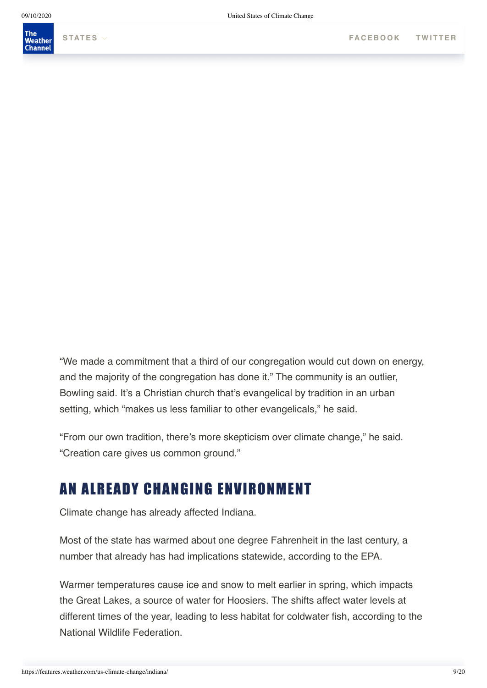

"We made a commitment that a third of our congregation would cut down on energy, and the majority of the congregation has done it." The community is an outlier, Bowling said. It's a Christian church that's evangelical by tradition in an urban setting, which "makes us less familiar to other evangelicals," he said.

"From our own tradition, there's more skepticism over climate change," he said. "Creation care gives us common ground."

# AN ALREADY CHANGING ENVIRONMENT

Climate change has already affected Indiana.

Most of the state has warmed about one degree Fahrenheit in the last century, a number that already has had implications statewide, according to the EPA.

Warmer temperatures cause ice and snow to melt earlier in spring, which impacts the Great Lakes, a source of water for Hoosiers. The shifts affect water levels at different times of the year, leading to less habitat for coldwater fish, according to the National Wildlife Federation.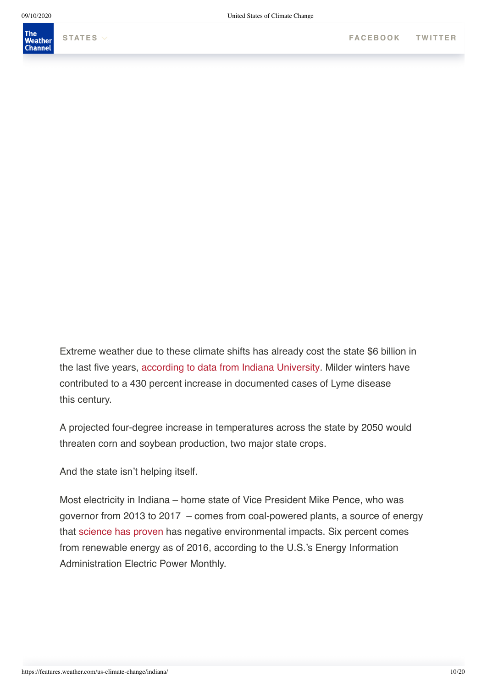

Extreme weather due to these climate shifts has already cost the state \$6 billion in the last five years, [according to data from Indiana University](https://grandchallenges.iu.edu/environmental-change/index.html). Milder winters have contributed to a 430 percent increase in documented cases of Lyme disease this century.

A projected four-degree increase in temperatures across the state by 2050 would threaten corn and soybean production, two major state crops.

And the state isn't helping itself.

Most electricity in Indiana – home state of Vice President Mike Pence, who was governor from 2013 to 2017 – comes from coal-powered plants, a source of energy that [science has proven](https://www.nature.com/articles/nature14016.epdf?referrer_access_token=NnGDk8kCn1dag7TJ3DKEn9RgN0jAjWel9jnR3ZoTv0MEzzy4wDRQte5fViQxiPJjD2pVn_VEiIJXUIpylA0k552pyVrx_Ey_ovlgxEbYV-g0I-gnv_gv0BmJgmMAMN2ITWWgyrpo3Ixdggd_JqvVtsw-wDc8WB-SWzDDtbCPOVIArhukJdvBYOG54yIZ7YgjtVACsr-WK9dgT19vs5PtVrYzNKeqEmvwaGCNY1Ln55eJDzHoy1cLXmKNz-yPXs2wGogcNOSG2oxOGDKKvovF5g%3D%3D&tracking_referrer=www.motherjones.com) has negative environmental impacts. Six percent comes from renewable energy as of 2016, according to the U.S.'s Energy Information Administration Electric Power Monthly.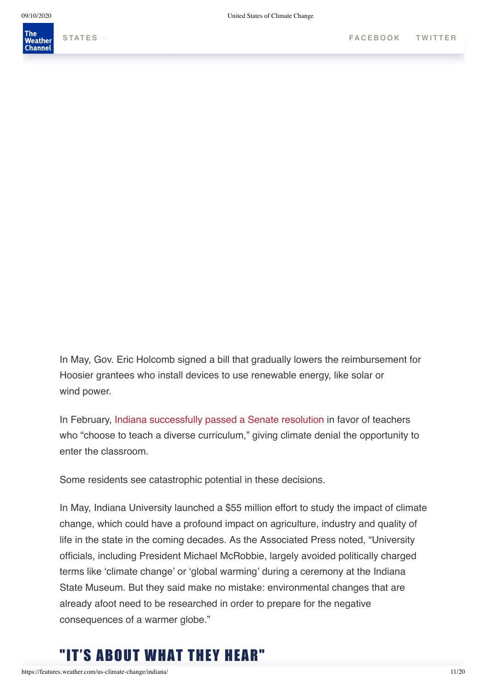

In May, Gov. Eric Holcomb signed a bill that gradually lowers the reimbursement for Hoosier grantees who install devices to use renewable energy, like solar or wind power.

In February, [Indiana successfully passed a Senate resolution](https://news.vice.com/story/six-states-trying-to-pass-climate-denial-in-education-legislation) in favor of teachers who "choose to teach a diverse curriculum," giving climate denial the opportunity to enter the classroom.

Some residents see catastrophic potential in these decisions.

In May, Indiana University launched a \$55 million effort to study the impact of climate change, which could have a profound impact on agriculture, industry and quality of life in the state in the coming decades. As the Associated Press noted, "University officials, including President Michael McRobbie, largely avoided politically charged terms like 'climate change' or 'global warming' during a ceremony at the Indiana State Museum. But they said make no mistake: environmental changes that are already afoot need to be researched in order to prepare for the negative consequences of a warmer globe."

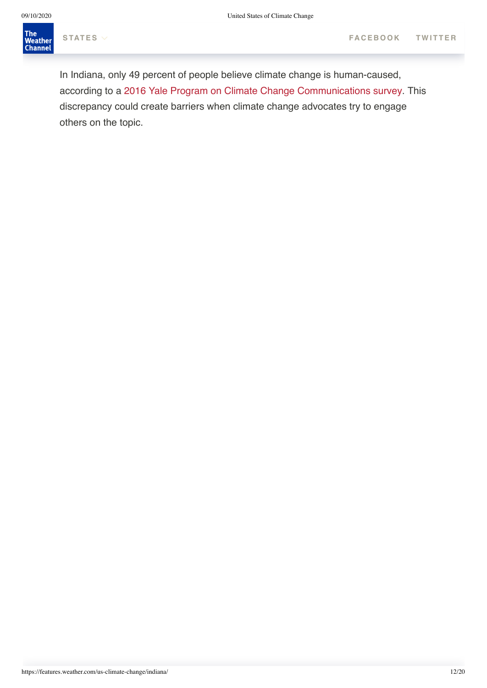The<br>Weather<br>Channel Talk to Madi Hirschland and you won't hear her mention the word[s climate chang](https://www.facebook.com/sharer.php?u=https://features.weather.com/us-climate-change/indiana/&t=God,%20Climate%20and%20Word%20Choice)[e,](https://twitter.com/share?text=&url=https://features.weather.com/us-climate-change/indiana/)

In Indiana, only 49 percent of people believe climate change is human-caused, according to a [2016 Yale Program on Climate Change Communications survey](http://climatecommunication.yale.edu/visualizations-data/ycom-us-2016/). This discrepancy could create barriers when climate change advocates try to engage others on the topic.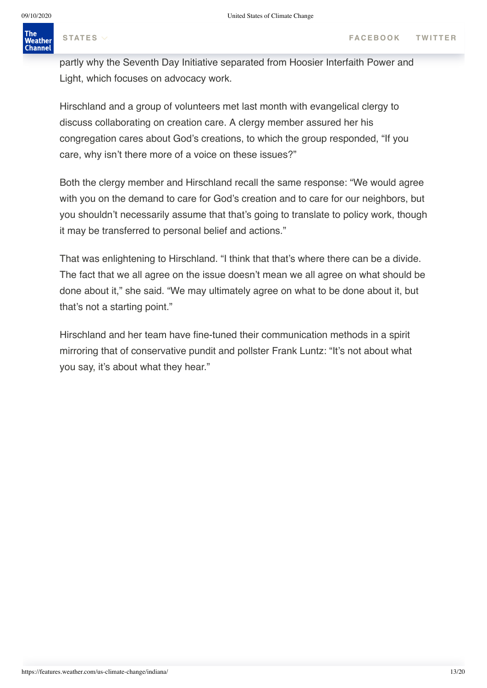# $\mathcal{M}_{\text{max}}$  was to separate from advocacy because that can be divisive,  $\mathcal{M}_{\text{max}}$  satisfies that can be divisive,  $\mathcal{M}_{\text{max}}$

partly why the Seventh Day Initiative separated from Hoosier Interfaith Power and Light, which focuses on advocacy work.

Hirschland and a group of volunteers met last month with evangelical clergy to discuss collaborating on creation care. A clergy member assured her his congregation cares about God's creations, to which the group responded, "If you care, why isn't there more of a voice on these issues?"

Both the clergy member and Hirschland recall the same response: "We would agree with you on the demand to care for God's creation and to care for our neighbors, but you shouldn't necessarily assume that that's going to translate to policy work, though it may be transferred to personal belief and actions."

That was enlightening to Hirschland. "I think that that's where there can be a divide. The fact that we all agree on the issue doesn't mean we all agree on what should be done about it," she said. "We may ultimately agree on what to be done about it, but that's not a starting point."

Hirschland and her team have fine-tuned their communication methods in a spirit mirroring that of conservative pundit and pollster Frank Luntz: "It's not about what you say, it's about what they hear."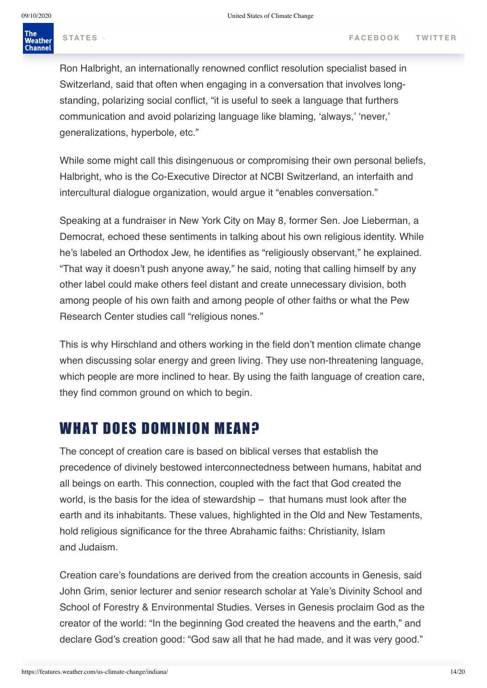Ron Halbright, an internationally renowned conflict resolution specialist based in Switzerland, said that often when engaging in a conversation that involves longstanding, polarizing social conflict, "it is useful to seek a language that furthers communication and avoid polarizing language like blaming, 'always,' 'never,' generalizations, hyperbole, etc."

While some might call this disingenuous or compromising their own personal beliefs, Halbright, who is the Co-Executive Director at NCBI Switzerland, an interfaith and intercultural dialogue organization, would argue it "enables conversation."

Speaking at a fundraiser in New York City on May 8, former Sen. Joe Lieberman, a Democrat, echoed these sentiments in talking about his own religious identity. While he's labeled an Orthodox Jew, he identifies as "religiously observant," he explained. "That way it doesn't push anyone away," he said, noting that calling himself by any other label could make others feel distant and create unnecessary division, both among people of his own faith and among people of other faiths or what the Pew Research Center studies call "religious nones."

This is why Hirschland and others working in the field don't mention climate change when discussing solar energy and green living. They use non-threatening language, which people are more inclined to hear. By using the faith language of creation care, they find common ground on which to begin.

# WHAT DOES DOMINION MEAN?

The concept of creation care is based on biblical verses that establish the precedence of divinely bestowed interconnectedness between humans, habitat and all beings on earth. This connection, coupled with the fact that God created the world, is the basis for the idea of stewardship – that humans must look after the earth and its inhabitants. These values, highlighted in the Old and New Testaments, hold religious significance for the three Abrahamic faiths: Christianity, Islam and Judaism.

Creation care's foundations are derived from the creation accounts in Genesis, said John Grim, senior lecturer and senior research scholar at Yale's Divinity School and School of Forestry & Environmental Studies. Verses in Genesis proclaim God as the creator of the world: "In the beginning God created the heavens and the earth," and declare God's creation good: "God saw all that he had made, and it was very good."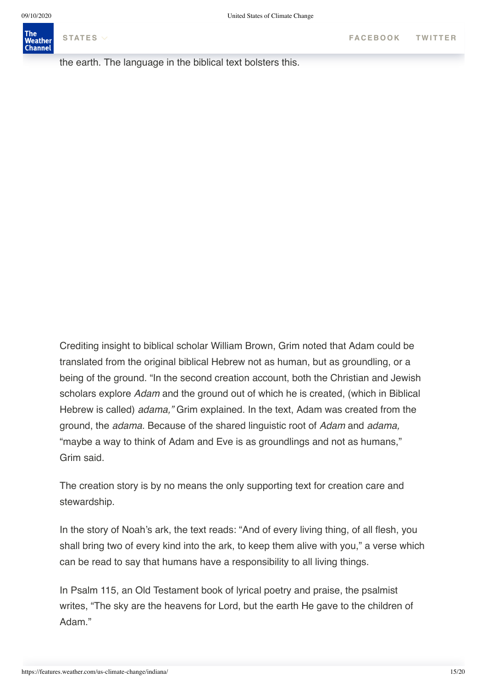the earth. The language in the biblical text bolsters this.

Crediting insight to biblical scholar William Brown, Grim noted that Adam could be translated from the original biblical Hebrew not as human, but as groundling, or a being of the ground. "In the second creation account, both the Christian and Jewish scholars explore *Adam* and the ground out of which he is created, (which in Biblical Hebrew is called) *adama,"* Grim explained. In the text, Adam was created from the ground, the *adama.* Because of the shared linguistic root of *Adam* and *adama,* "maybe a way to think of Adam and Eve is as groundlings and not as humans," Grim said.

The creation story is by no means the only supporting text for creation care and stewardship.

In the story of Noah's ark, the text reads: "And of every living thing, of all flesh, you shall bring two of every kind into the ark, to keep them alive with you," a verse which can be read to say that humans have a responsibility to all living things.

In Psalm 115, an Old Testament book of lyrical poetry and praise, the psalmist writes, "The sky are the heavens for Lord, but the earth He gave to the children of Adam."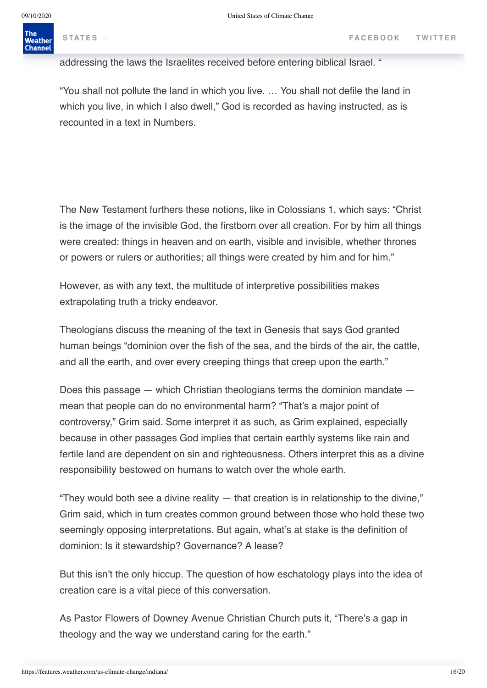#### $\overline{a}$ The Weather **Channel**

addressing the laws the Israelites received before entering biblical Israel. "

"You shall not pollute the land in which you live. … You shall not defile the land in which you live, in which I also dwell," God is recorded as having instructed, as is recounted in a text in Numbers.

The New Testament furthers these notions, like in Colossians 1, which says: "Christ is the image of the invisible God, the firstborn over all creation. For by him all things were created: things in heaven and on earth, visible and invisible, whether thrones or powers or rulers or authorities; all things were created by him and for him."

However, as with any text, the multitude of interpretive possibilities makes extrapolating truth a tricky endeavor.

Theologians discuss the meaning of the text in Genesis that says God granted human beings "dominion over the fish of the sea, and the birds of the air, the cattle, and all the earth, and over every creeping things that creep upon the earth."

Does this passage — which Christian theologians terms the dominion mandate mean that people can do no environmental harm? "That's a major point of controversy," Grim said. Some interpret it as such, as Grim explained, especially because in other passages God implies that certain earthly systems like rain and fertile land are dependent on sin and righteousness. Others interpret this as a divine responsibility bestowed on humans to watch over the whole earth.

"They would both see a divine reality — that creation is in relationship to the divine," Grim said, which in turn creates common ground between those who hold these two seemingly opposing interpretations. But again, what's at stake is the definition of dominion: Is it stewardship? Governance? A lease?

But this isn't the only hiccup. The question of how eschatology plays into the idea of creation care is a vital piece of this conversation.

As Pastor Flowers of Downey Avenue Christian Church puts it, "There's a gap in theology and the way we understand caring for the earth."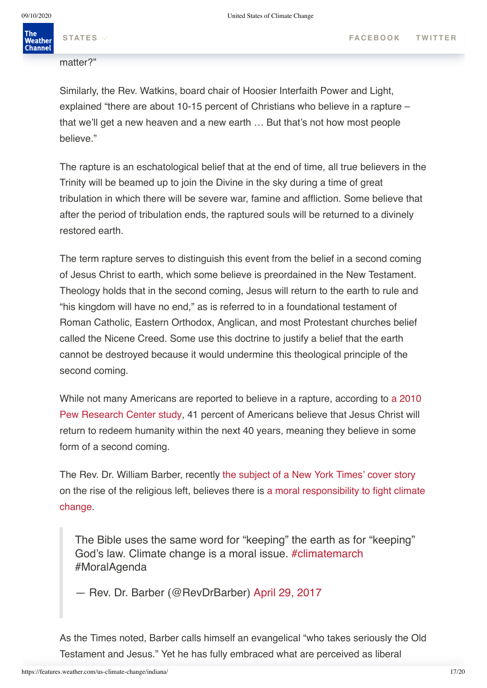matter?"

Similarly, the Rev. Watkins, board chair of Hoosier Interfaith Power and Light, explained "there are about 10-15 percent of Christians who believe in a rapture – that we'll get a new heaven and a new earth … But that's not how most people believe."

The rapture is an eschatological belief that at the end of time, all true believers in the Trinity will be beamed up to join the Divine in the sky during a time of great tribulation in which there will be severe war, famine and affliction. Some believe that after the period of tribulation ends, the raptured souls will be returned to a divinely restored earth.

The term rapture serves to distinguish this event from the belief in a second coming of Jesus Christ to earth, which some believe is preordained in the New Testament. Theology holds that in the second coming, Jesus will return to the earth to rule and "his kingdom will have no end," as is referred to in a foundational testament of Roman Catholic, Eastern Orthodox, Anglican, and most Protestant churches belief called the Nicene Creed. Some use this doctrine to justify a belief that the earth cannot be destroyed because it would undermine this theological principle of the second coming.

[While not many Americans are reported to believe in a rapture, according to a 2010](http://www.pewresearch.org/fact-tank/2010/07/14/jesus-christs-return-to-earth/) Pew Research Center study, 41 percent of Americans believe that Jesus Christ will return to redeem humanity within the next 40 years, meaning they believe in some form of a second coming.

The Rev. Dr. William Barber, recently [the subject of a New York Times' cover story](https://www.nytimes.com/2017/06/10/us/politics/politics-religion-liberal-william-barber.html) [on the rise of the religious left, believes there is](http://www.naacpnc.org/address_moral_action_on_climate_change) a moral responsibility to fight climate change.

The Bible uses the same word for "keeping" the earth as for "keeping" God's law. Climate change is a moral issue. [#climatemarch](https://twitter.com/hashtag/climatemarch?src=hash) #MoralAgenda

— Rev. Dr. Barber (@RevDrBarber) [April 29, 2017](https://twitter.com/RevDrBarber/status/858406967597035520)

As the Times noted, Barber calls himself an evangelical "who takes seriously the Old Testament and Jesus." Yet he has fully embraced what are perceived as liberal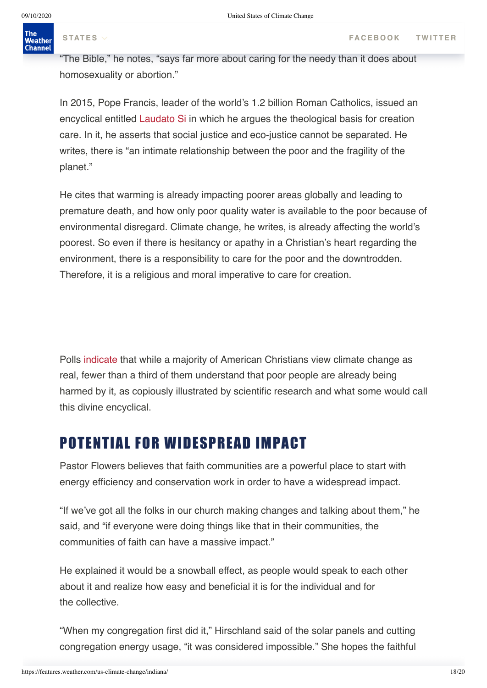# causes, including humans rights and [environmental responsibility.](http://www.naacpnc.org/address_moral_action_on_climate_change)

"The Bible," he notes, "says far more about caring for the needy than it does about homosexuality or abortion."

In 2015, Pope Francis, leader of the world's 1.2 billion Roman Catholics, issued an encyclical entitled [Laudato Si](http://w2.vatican.va/content/francesco/en/encyclicals/documents/papa-francesco_20150524_enciclica-laudato-si.html) in which he argues the theological basis for creation care. In it, he asserts that social justice and eco-justice cannot be separated. He writes, there is "an intimate relationship between the poor and the fragility of the planet."

He cites that warming is already impacting poorer areas globally and leading to premature death, and how only poor quality water is available to the poor because of environmental disregard. Climate change, he writes, is already affecting the world's poorest. So even if there is hesitancy or apathy in a Christian's heart regarding the environment, there is a responsibility to care for the poor and the downtrodden. Therefore, it is a religious and moral imperative to care for creation.

Polls [indicate](http://environment.yale.edu/climate-communication/article/climate-change-in-the-american-christian-mind/) that while a majority of American Christians view climate change as real, fewer than a third of them understand that poor people are already being harmed by it, as copiously illustrated by scientific research and what some would call this divine encyclical.

## POTENTIAL FOR WIDESPREAD IMPACT

Pastor Flowers believes that faith communities are a powerful place to start with energy efficiency and conservation work in order to have a widespread impact.

"If we've got all the folks in our church making changes and talking about them," he said, and "if everyone were doing things like that in their communities, the communities of faith can have a massive impact."

He explained it would be a snowball effect, as people would speak to each other about it and realize how easy and beneficial it is for the individual and for the collective.

"When my congregation first did it," Hirschland said of the solar panels and cutting congregation energy usage, "it was considered impossible." She hopes the faithful